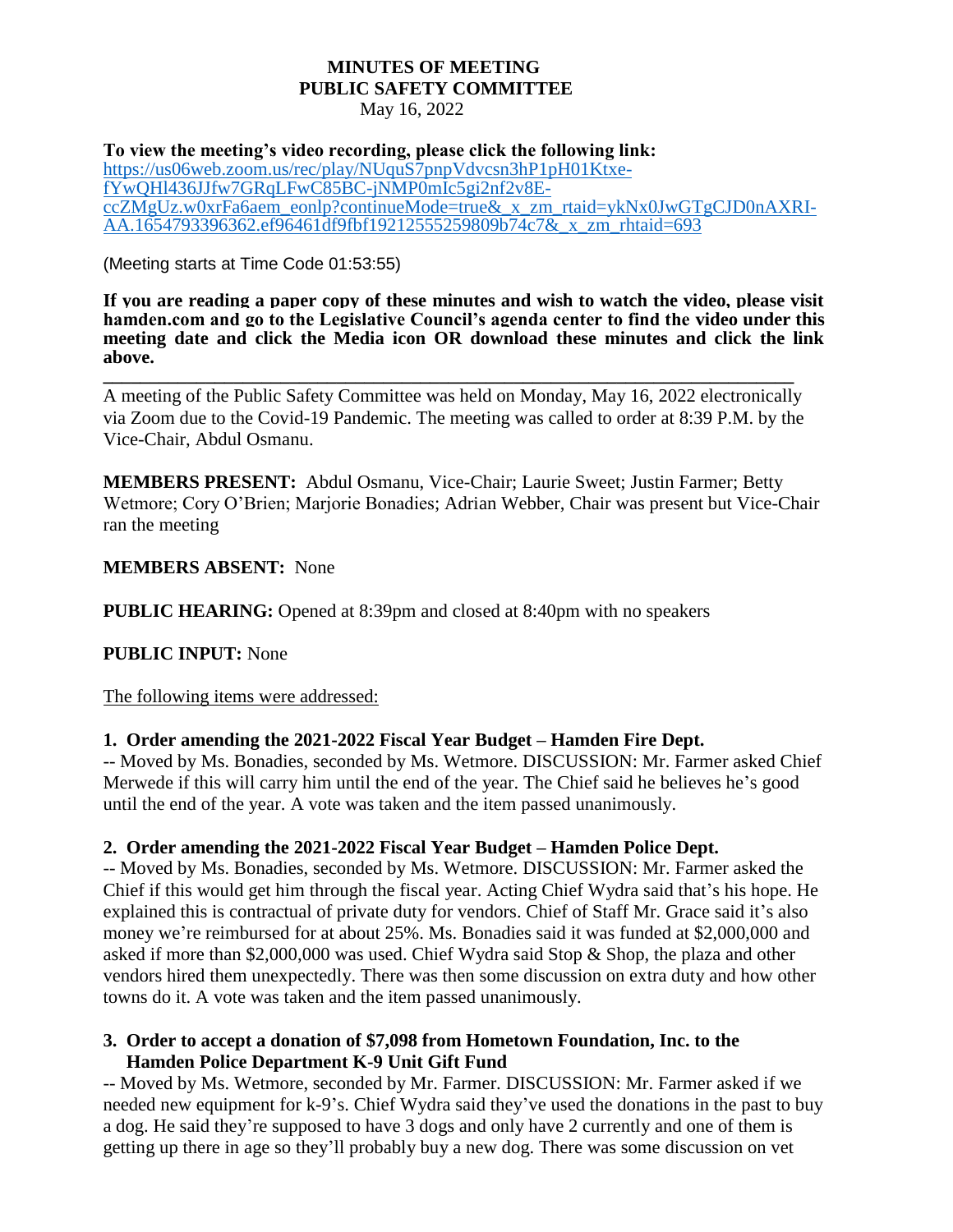#### **MINUTES OF MEETING PUBLIC SAFETY COMMITTEE** May 16, 2022

**To view the meeting's video recording, please click the following link:** [https://us06web.zoom.us/rec/play/NUquS7pnpVdvcsn3hP1pH01Ktxe](https://us06web.zoom.us/rec/play/NUquS7pnpVdvcsn3hP1pH01Ktxe-fYwQHl436JJfw7GRqLFwC85BC-jNMP0mIc5gi2nf2v8E-ccZMgUz.w0xrFa6aem_eonlp?continueMode=true&_x_zm_rtaid=ykNx0JwGTgCJD0nAXRI-AA.1654793396362.ef96461df9fbf19212555259809b74c7&_x_zm_rhtaid=693)[fYwQHl436JJfw7GRqLFwC85BC-jNMP0mIc5gi2nf2v8E](https://us06web.zoom.us/rec/play/NUquS7pnpVdvcsn3hP1pH01Ktxe-fYwQHl436JJfw7GRqLFwC85BC-jNMP0mIc5gi2nf2v8E-ccZMgUz.w0xrFa6aem_eonlp?continueMode=true&_x_zm_rtaid=ykNx0JwGTgCJD0nAXRI-AA.1654793396362.ef96461df9fbf19212555259809b74c7&_x_zm_rhtaid=693)[ccZMgUz.w0xrFa6aem\\_eonlp?continueMode=true&\\_x\\_zm\\_rtaid=ykNx0JwGTgCJD0nAXRI-](https://us06web.zoom.us/rec/play/NUquS7pnpVdvcsn3hP1pH01Ktxe-fYwQHl436JJfw7GRqLFwC85BC-jNMP0mIc5gi2nf2v8E-ccZMgUz.w0xrFa6aem_eonlp?continueMode=true&_x_zm_rtaid=ykNx0JwGTgCJD0nAXRI-AA.1654793396362.ef96461df9fbf19212555259809b74c7&_x_zm_rhtaid=693)[AA.1654793396362.ef96461df9fbf19212555259809b74c7&\\_x\\_zm\\_rhtaid=693](https://us06web.zoom.us/rec/play/NUquS7pnpVdvcsn3hP1pH01Ktxe-fYwQHl436JJfw7GRqLFwC85BC-jNMP0mIc5gi2nf2v8E-ccZMgUz.w0xrFa6aem_eonlp?continueMode=true&_x_zm_rtaid=ykNx0JwGTgCJD0nAXRI-AA.1654793396362.ef96461df9fbf19212555259809b74c7&_x_zm_rhtaid=693)

(Meeting starts at Time Code [01:53:55\)](https://www.hamden.com/AgendaCenter/ViewFile/Agenda/_09082021-2595)

**If you are reading a paper copy of these minutes and wish to watch the video, please visit hamden.com and go to the Legislative Council's agenda center to find the video under this meeting date and click the Media icon OR download these minutes and click the link above.**

A meeting of the Public Safety Committee was held on Monday, May 16, 2022 electronically via Zoom due to the Covid-19 Pandemic. The meeting was called to order at 8:39 P.M. by the Vice-Chair, Abdul Osmanu.

**\_\_\_\_\_\_\_\_\_\_\_\_\_\_\_\_\_\_\_\_\_\_\_\_\_\_\_\_\_\_\_\_\_\_\_\_\_\_\_\_\_\_\_\_\_\_\_\_\_\_\_\_\_\_\_\_\_\_\_\_\_\_\_\_\_\_\_\_\_\_\_\_\_\_**

**MEMBERS PRESENT:** Abdul Osmanu, Vice-Chair; Laurie Sweet; Justin Farmer; Betty Wetmore; Cory O'Brien; Marjorie Bonadies; Adrian Webber, Chair was present but Vice-Chair ran the meeting

### **MEMBERS ABSENT:** None

**PUBLIC HEARING:** Opened at 8:39pm and closed at 8:40pm with no speakers

### **PUBLIC INPUT:** None

The following items were addressed:

### **1. Order amending the 2021-2022 Fiscal Year Budget – Hamden Fire Dept.**

-- Moved by Ms. Bonadies, seconded by Ms. Wetmore. DISCUSSION: Mr. Farmer asked Chief Merwede if this will carry him until the end of the year. The Chief said he believes he's good until the end of the year. A vote was taken and the item passed unanimously.

### **2. Order amending the 2021-2022 Fiscal Year Budget – Hamden Police Dept.**

-- Moved by Ms. Bonadies, seconded by Ms. Wetmore. DISCUSSION: Mr. Farmer asked the Chief if this would get him through the fiscal year. Acting Chief Wydra said that's his hope. He explained this is contractual of private duty for vendors. Chief of Staff Mr. Grace said it's also money we're reimbursed for at about 25%. Ms. Bonadies said it was funded at \$2,000,000 and asked if more than \$2,000,000 was used. Chief Wydra said Stop & Shop, the plaza and other vendors hired them unexpectedly. There was then some discussion on extra duty and how other towns do it. A vote was taken and the item passed unanimously.

### **3. Order to accept a donation of \$7,098 from Hometown Foundation, Inc. to the Hamden Police Department K-9 Unit Gift Fund**

-- Moved by Ms. Wetmore, seconded by Mr. Farmer. DISCUSSION: Mr. Farmer asked if we needed new equipment for k-9's. Chief Wydra said they've used the donations in the past to buy a dog. He said they're supposed to have 3 dogs and only have 2 currently and one of them is getting up there in age so they'll probably buy a new dog. There was some discussion on vet